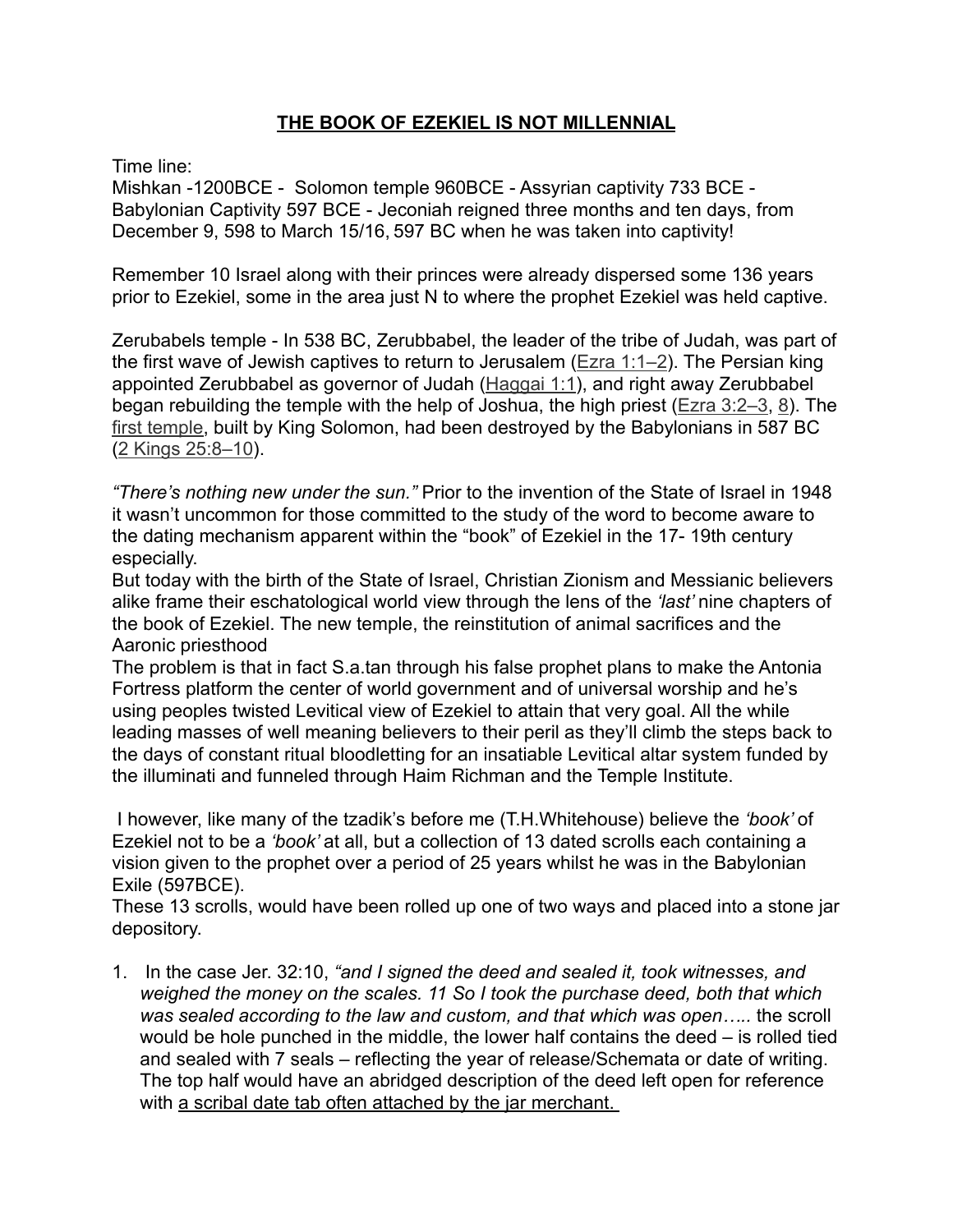#### **THE BOOK OF EZEKIEL IS NOT MILLENNIAL**

Time line:

Mishkan -1200BCE - Solomon temple 960BCE - Assyrian captivity 733 BCE - Babylonian Captivity 597 BCE - Jeconiah reigned three months and ten days, from December 9, 598 to March 15/16, 597 BC when he was taken into captivity!

Remember 10 Israel along with their princes were already dispersed some 136 years prior to Ezekiel, some in the area just N to where the prophet Ezekiel was held captive.

Zerubabels temple - In 538 BC, Zerubbabel, the leader of the tribe of Judah, was part of the first wave of Jewish captives to return to Jerusalem ([Ezra 1:1–2\)](http://biblia.com/bible/esv/Ezra%201.1%E2%80%932). The Persian king appointed Zerubbabel as governor of Judah [\(Haggai 1:1](http://biblia.com/bible/esv/Haggai%201.1)), and right away Zerubbabel began rebuilding the temple with the help of Joshua, the high priest ([Ezra 3:2–3,](http://biblia.com/bible/esv/Ezra%203.2%E2%80%933) [8\)](http://biblia.com/bible/esv/Ezra%203.8). The [first temple,](http://www.gotquestions.org/Solomon-first-temple.html) built by King Solomon, had been destroyed by the Babylonians in 587 BC ([2 Kings 25:8–10\)](http://biblia.com/bible/esv/2%20Kings%2025.8%E2%80%9310).

*"There's nothing new under the sun."* Prior to the invention of the State of Israel in 1948 it wasn't uncommon for those committed to the study of the word to become aware to the dating mechanism apparent within the "book" of Ezekiel in the 17- 19th century especially.

But today with the birth of the State of Israel, Christian Zionism and Messianic believers alike frame their eschatological world view through the lens of the *'last'* nine chapters of the book of Ezekiel. The new temple, the reinstitution of animal sacrifices and the Aaronic priesthood

The problem is that in fact S.a.tan through his false prophet plans to make the Antonia Fortress platform the center of world government and of universal worship and he's using peoples twisted Levitical view of Ezekiel to attain that very goal. All the while leading masses of well meaning believers to their peril as they'll climb the steps back to the days of constant ritual bloodletting for an insatiable Levitical altar system funded by the illuminati and funneled through Haim Richman and the Temple Institute.

 I however, like many of the tzadik's before me (T.H.Whitehouse) believe the *'book'* of Ezekiel not to be a *'book'* at all, but a collection of 13 dated scrolls each containing a vision given to the prophet over a period of 25 years whilst he was in the Babylonian Exile (597BCE).

These 13 scrolls, would have been rolled up one of two ways and placed into a stone jar depository.

1. In the case Jer. 32:10, *"and I signed the deed and sealed it, took witnesses, and weighed the money on the scales. 11 So I took the purchase deed, both that which was sealed according to the law and custom, and that which was open…..* the scroll would be hole punched in the middle, the lower half contains the deed – is rolled tied and sealed with 7 seals – reflecting the year of release/Schemata or date of writing. The top half would have an abridged description of the deed left open for reference with a scribal date tab often attached by the jar merchant.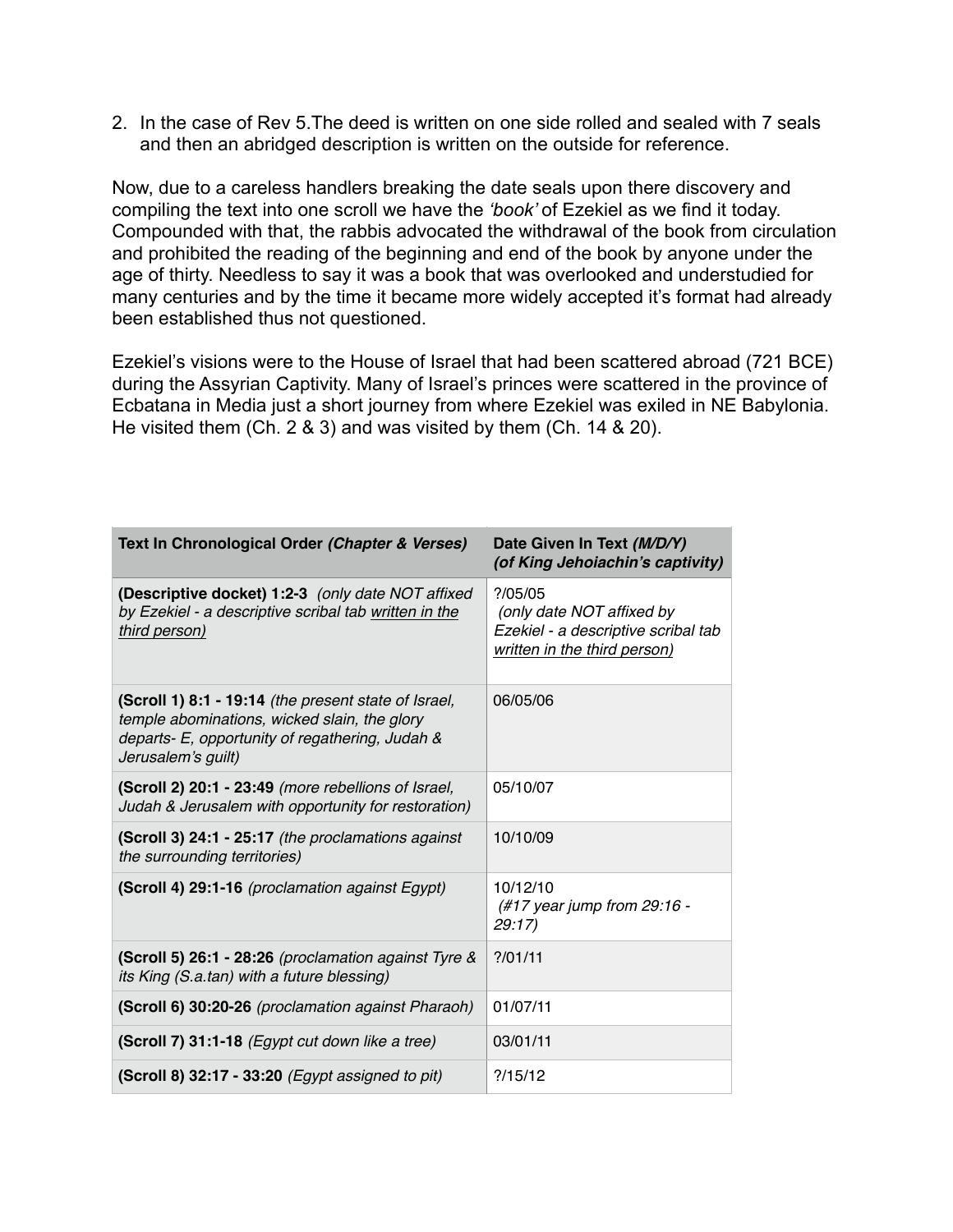2. In the case of Rev 5.The deed is written on one side rolled and sealed with 7 seals and then an abridged description is written on the outside for reference.

Now, due to a careless handlers breaking the date seals upon there discovery and compiling the text into one scroll we have the *'book'* of Ezekiel as we find it today. Compounded with that, the rabbis advocated the withdrawal of the book from circulation and prohibited the reading of the beginning and end of the book by anyone under the age of thirty. Needless to say it was a book that was overlooked and understudied for many centuries and by the time it became more widely accepted it's format had already been established thus not questioned.

Ezekiel's visions were to the House of Israel that had been scattered abroad (721 BCE) during the Assyrian Captivity. Many of Israel's princes were scattered in the province of Ecbatana in Media just a short journey from where Ezekiel was exiled in NE Babylonia. He visited them (Ch. 2 & 3) and was visited by them (Ch. 14 & 20).

| Text In Chronological Order (Chapter & Verses)                                                                                                                                | Date Given In Text (M/D/Y)<br>(of King Jehoiachin's captivity)                                                  |
|-------------------------------------------------------------------------------------------------------------------------------------------------------------------------------|-----------------------------------------------------------------------------------------------------------------|
| (Descriptive docket) 1:2-3 (only date NOT affixed<br>by Ezekiel - a descriptive scribal tab written in the<br>third person)                                                   | ? / 05 / 05<br>(only date NOT affixed by<br>Ezekiel - a descriptive scribal tab<br>written in the third person) |
| (Scroll 1) 8:1 - 19:14 (the present state of Israel,<br>temple abominations, wicked slain, the glory<br>departs- E, opportunity of regathering, Judah &<br>Jerusalem's guilt) | 06/05/06                                                                                                        |
| (Scroll 2) 20:1 - 23:49 (more rebellions of Israel,<br>Judah & Jerusalem with opportunity for restoration)                                                                    | 05/10/07                                                                                                        |
| (Scroll 3) 24:1 - 25:17 (the proclamations against<br>the surrounding territories)                                                                                            | 10/10/09                                                                                                        |
| (Scroll 4) 29:1-16 (proclamation against Egypt)                                                                                                                               | 10/12/10<br>(#17 year jump from 29:16 -<br>29:17                                                                |
| (Scroll 5) 26:1 - 28:26 (proclamation against Tyre &<br>its King (S.a.tan) with a future blessing)                                                                            | ? / 01 / 11                                                                                                     |
| (Scroll 6) 30:20-26 (proclamation against Pharaoh)                                                                                                                            | 01/07/11                                                                                                        |
| (Scroll 7) 31:1-18 (Egypt cut down like a tree)                                                                                                                               | 03/01/11                                                                                                        |
| (Scroll 8) 32:17 - 33:20 (Egypt assigned to pit)                                                                                                                              | ?15/12                                                                                                          |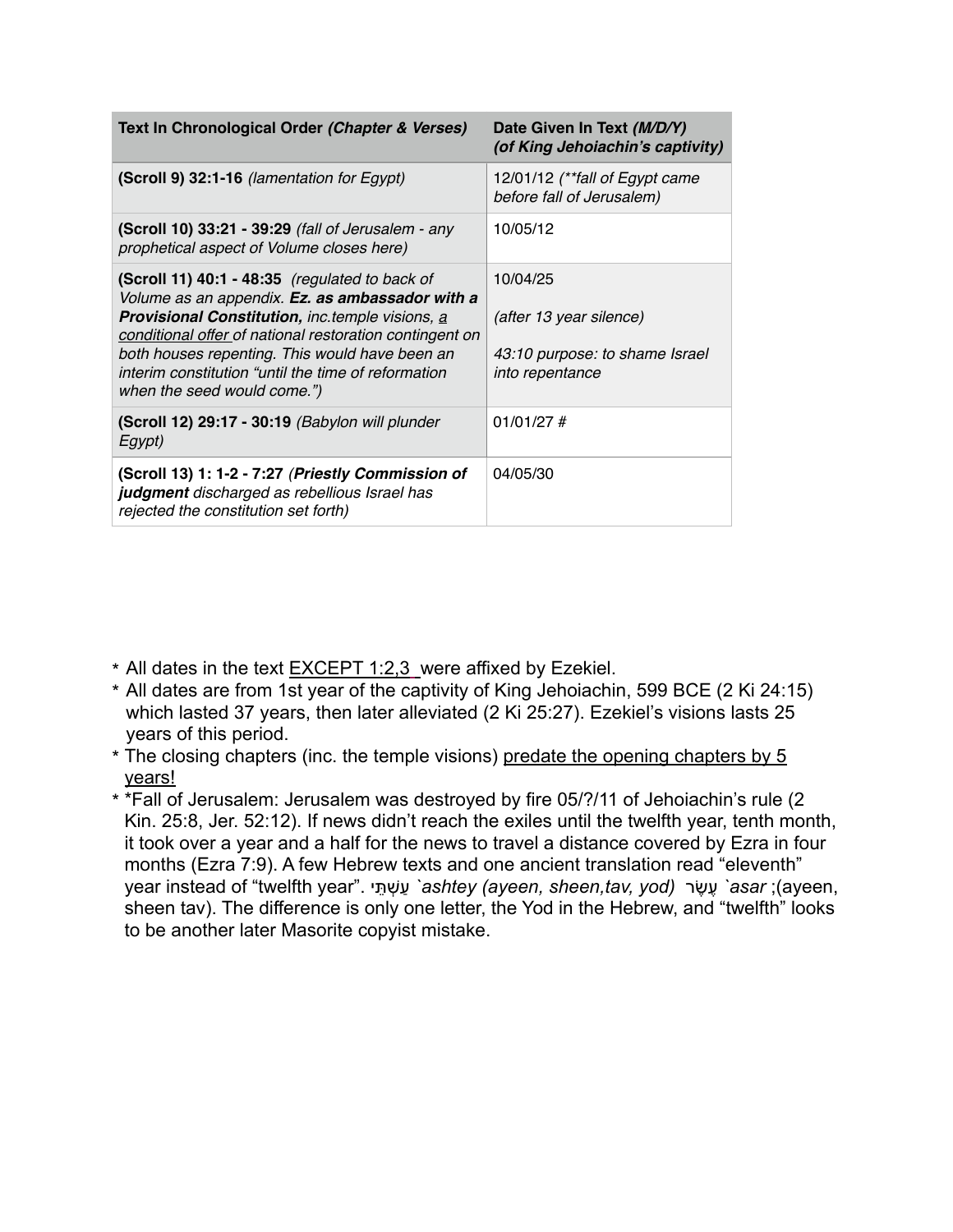| Text In Chronological Order (Chapter & Verses)                                                                                                                                                                                                                                                                                                                 | Date Given In Text (M/D/Y)<br>(of King Jehoiachin's captivity)                                  |
|----------------------------------------------------------------------------------------------------------------------------------------------------------------------------------------------------------------------------------------------------------------------------------------------------------------------------------------------------------------|-------------------------------------------------------------------------------------------------|
| (Scroll 9) 32:1-16 (lamentation for Egypt)                                                                                                                                                                                                                                                                                                                     | 12/01/12 (**fall of Egypt came<br>before fall of Jerusalem)                                     |
| (Scroll 10) 33:21 - 39:29 (fall of Jerusalem - any<br>prophetical aspect of Volume closes here)                                                                                                                                                                                                                                                                | 10/05/12                                                                                        |
| (Scroll 11) 40:1 - 48:35 (regulated to back of<br>Volume as an appendix. Ez. as ambassador with a<br><b>Provisional Constitution, inc.temple visions, a</b><br>conditional offer of national restoration contingent on<br>both houses repenting. This would have been an<br>interim constitution "until the time of reformation<br>when the seed would come.") | 10/04/25<br>(after 13 year silence)<br>43:10 purpose: to shame Israel<br><i>into repentance</i> |
| (Scroll 12) 29:17 - 30:19 (Babylon will plunder<br>Egypt)                                                                                                                                                                                                                                                                                                      | $01/01/27$ #                                                                                    |
| (Scroll 13) 1: 1-2 - 7:27 (Priestly Commission of<br>judgment discharged as rebellious Israel has<br>rejected the constitution set forth)                                                                                                                                                                                                                      | 04/05/30                                                                                        |

- \* All dates in the text EXCEPT 1:2,3 were affixed by Ezekiel.
- \* All dates are from 1st year of the captivity of King Jehoiachin, 599 BCE (2 Ki 24:15) which lasted 37 years, then later alleviated (2 Ki 25:27). Ezekiel's visions lasts 25 years of this period.
- $*$  The closing chapters (inc. the temple visions) predate the opening chapters by  $5$ years!
- \* \*Fall of Jerusalem: Jerusalem was destroyed by fire 05/?/11 of Jehoiachin's rule (2 Kin. 25:8, Jer. 52:12). If news didn't reach the exiles until the twelfth year, tenth month, it took over a year and a half for the news to travel a distance covered by Ezra in four months (Ezra 7:9). A few Hebrew texts and one ancient translation read "eleventh" year instead of "twelfth year". תּיֵ שְׁ עַ*` ashtey (ayeen, sheen,tav, yod)* שׂרֶ עֶ*` asar* ;(ayeen, sheen tav). The difference is only one letter, the Yod in the Hebrew, and "twelfth" looks to be another later Masorite copyist mistake.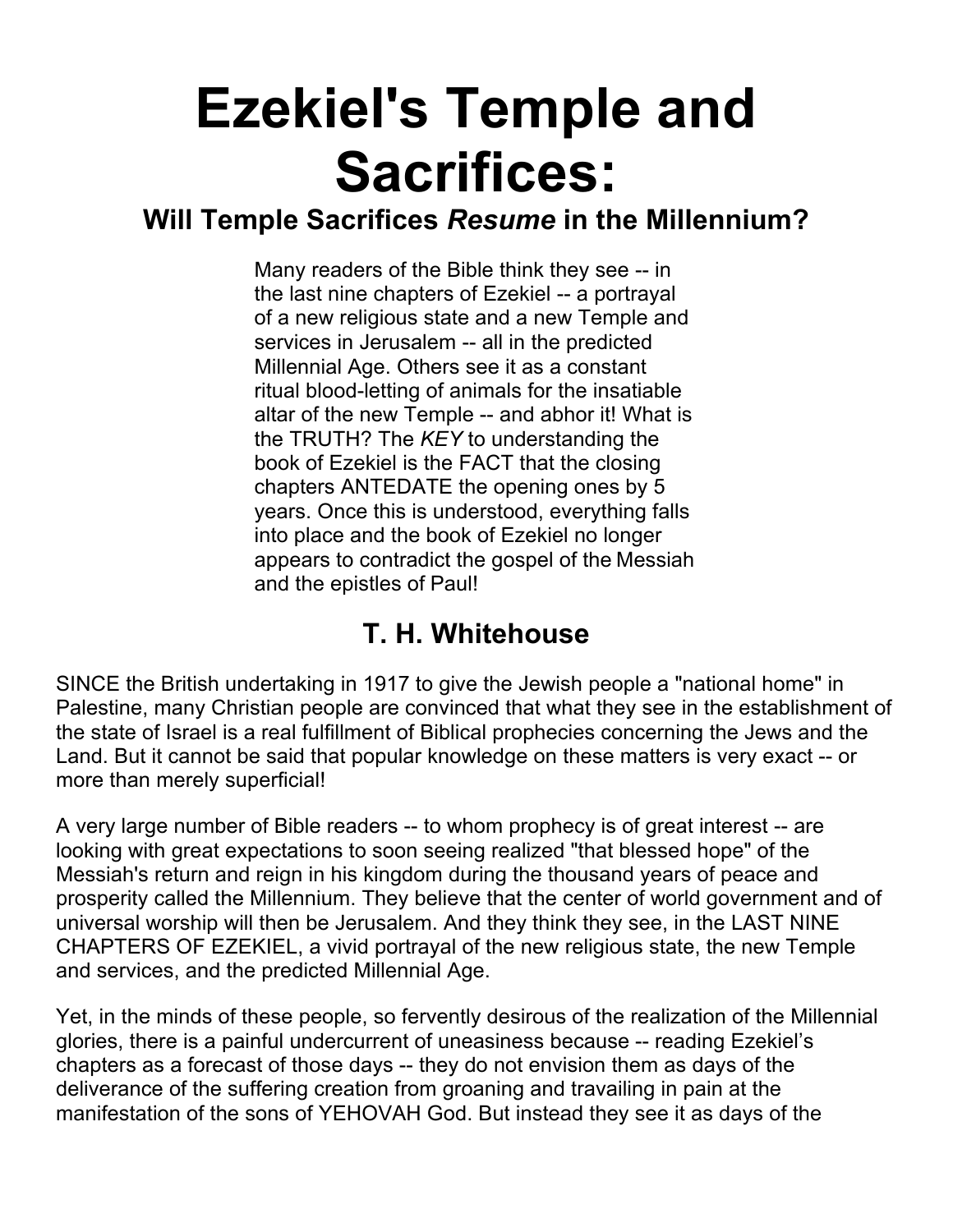# **Ezekiel's Temple and Sacrifices:**

### **Will Temple Sacrifices** *Resume* **in the Millennium?**

Many readers of the Bible think they see -- in the last nine chapters of Ezekiel -- a portrayal of a new religious state and a new Temple and services in Jerusalem -- all in the predicted Millennial Age. Others see it as a constant ritual blood-letting of animals for the insatiable altar of the new Temple -- and abhor it! What is the TRUTH? The *KEY* to understanding the book of Ezekiel is the FACT that the closing chapters ANTEDATE the opening ones by 5 years. Once this is understood, everything falls into place and the book of Ezekiel no longer appears to contradict the gospel of the Messiah and the epistles of Paul!

## **T. H. Whitehouse**

SINCE the British undertaking in 1917 to give the Jewish people a "national home" in Palestine, many Christian people are convinced that what they see in the establishment of the state of Israel is a real fulfillment of Biblical prophecies concerning the Jews and the Land. But it cannot be said that popular knowledge on these matters is very exact -- or more than merely superficial!

A very large number of Bible readers -- to whom prophecy is of great interest -- are looking with great expectations to soon seeing realized "that blessed hope" of the Messiah's return and reign in his kingdom during the thousand years of peace and prosperity called the Millennium. They believe that the center of world government and of universal worship will then be Jerusalem. And they think they see, in the LAST NINE CHAPTERS OF EZEKIEL, a vivid portrayal of the new religious state, the new Temple and services, and the predicted Millennial Age.

Yet, in the minds of these people, so fervently desirous of the realization of the Millennial glories, there is a painful undercurrent of uneasiness because -- reading Ezekiel's chapters as a forecast of those days -- they do not envision them as days of the deliverance of the suffering creation from groaning and travailing in pain at the manifestation of the sons of YEHOVAH God. But instead they see it as days of the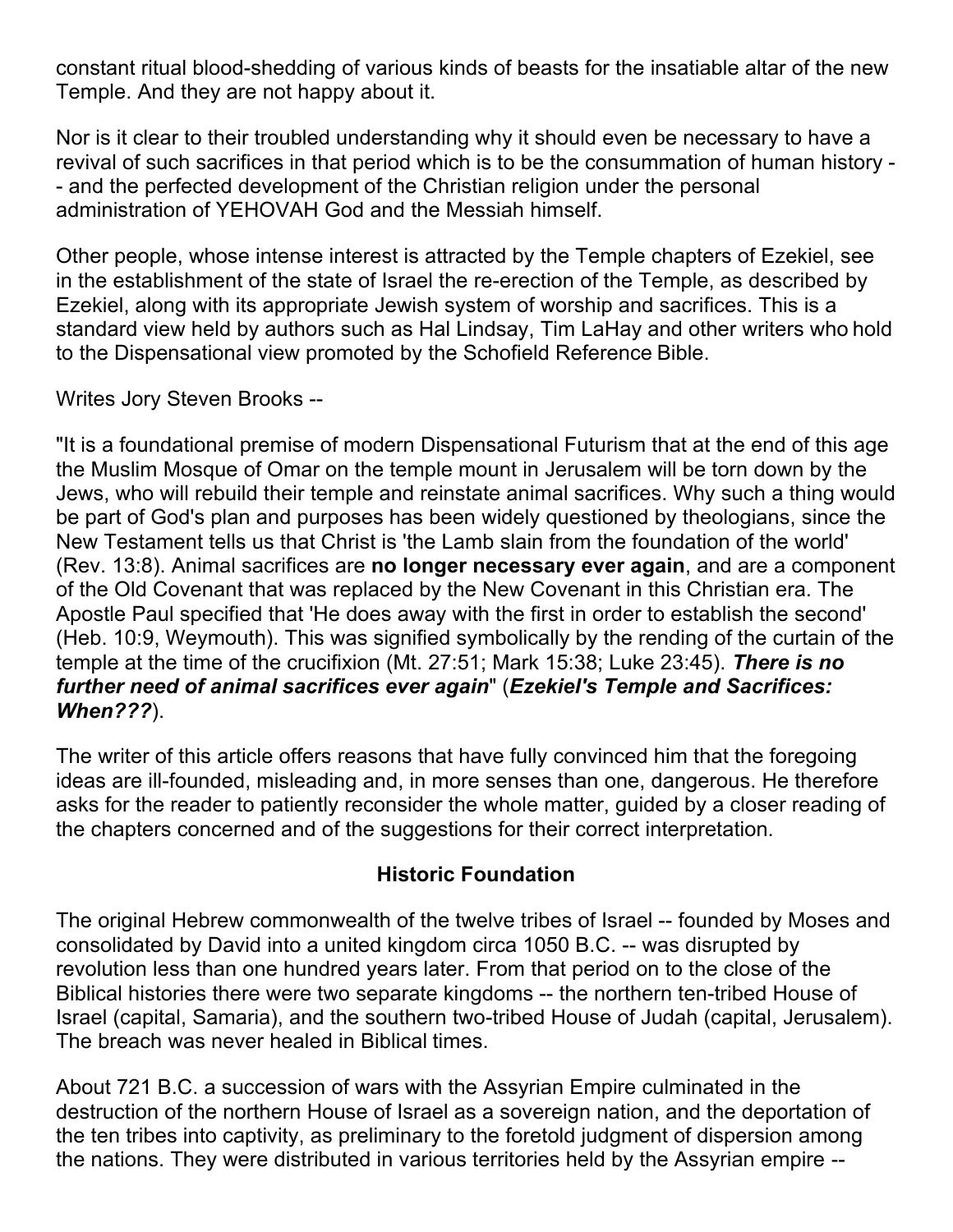constant ritual blood-shedding of various kinds of beasts for the insatiable altar of the new Temple. And they are not happy about it.

Nor is it clear to their troubled understanding why it should even be necessary to have a revival of such sacrifices in that period which is to be the consummation of human history - - and the perfected development of the Christian religion under the personal administration of YEHOVAH God and the Messiah himself.

Other people, whose intense interest is attracted by the Temple chapters of Ezekiel, see in the establishment of the state of Israel the re-erection of the Temple, as described by Ezekiel, along with its appropriate Jewish system of worship and sacrifices. This is a standard view held by authors such as Hal Lindsay, Tim LaHay and other writers who hold to the Dispensational view promoted by the Schofield Reference Bible.

Writes Jory Steven Brooks --

"It is a foundational premise of modern Dispensational Futurism that at the end of this age the Muslim Mosque of Omar on the temple mount in Jerusalem will be torn down by the Jews, who will rebuild their temple and reinstate animal sacrifices. Why such a thing would be part of God's plan and purposes has been widely questioned by theologians, since the New Testament tells us that Christ is 'the Lamb slain from the foundation of the world' (Rev. 13:8). Animal sacrifices are **no longer necessary ever again**, and are a component of the Old Covenant that was replaced by the New Covenant in this Christian era. The Apostle Paul specified that 'He does away with the first in order to establish the second' (Heb. 10:9, Weymouth). This was signified symbolically by the rending of the curtain of the temple at the time of the crucifixion (Mt. 27:51; Mark 15:38; Luke 23:45). *There is no further need of animal sacrifices ever again*" (*Ezekiel's Temple and Sacrifices: When???*).

The writer of this article offers reasons that have fully convinced him that the foregoing ideas are ill-founded, misleading and, in more senses than one, dangerous. He therefore asks for the reader to patiently reconsider the whole matter, guided by a closer reading of the chapters concerned and of the suggestions for their correct interpretation.

#### **Historic Foundation**

The original Hebrew commonwealth of the twelve tribes of Israel -- founded by Moses and consolidated by David into a united kingdom circa 1050 B.C. -- was disrupted by revolution less than one hundred years later. From that period on to the close of the Biblical histories there were two separate kingdoms -- the northern ten-tribed House of Israel (capital, Samaria), and the southern two-tribed House of Judah (capital, Jerusalem). The breach was never healed in Biblical times.

About 721 B.C. a succession of wars with the Assyrian Empire culminated in the destruction of the northern House of Israel as a sovereign nation, and the deportation of the ten tribes into captivity, as preliminary to the foretold judgment of dispersion among the nations. They were distributed in various territories held by the Assyrian empire --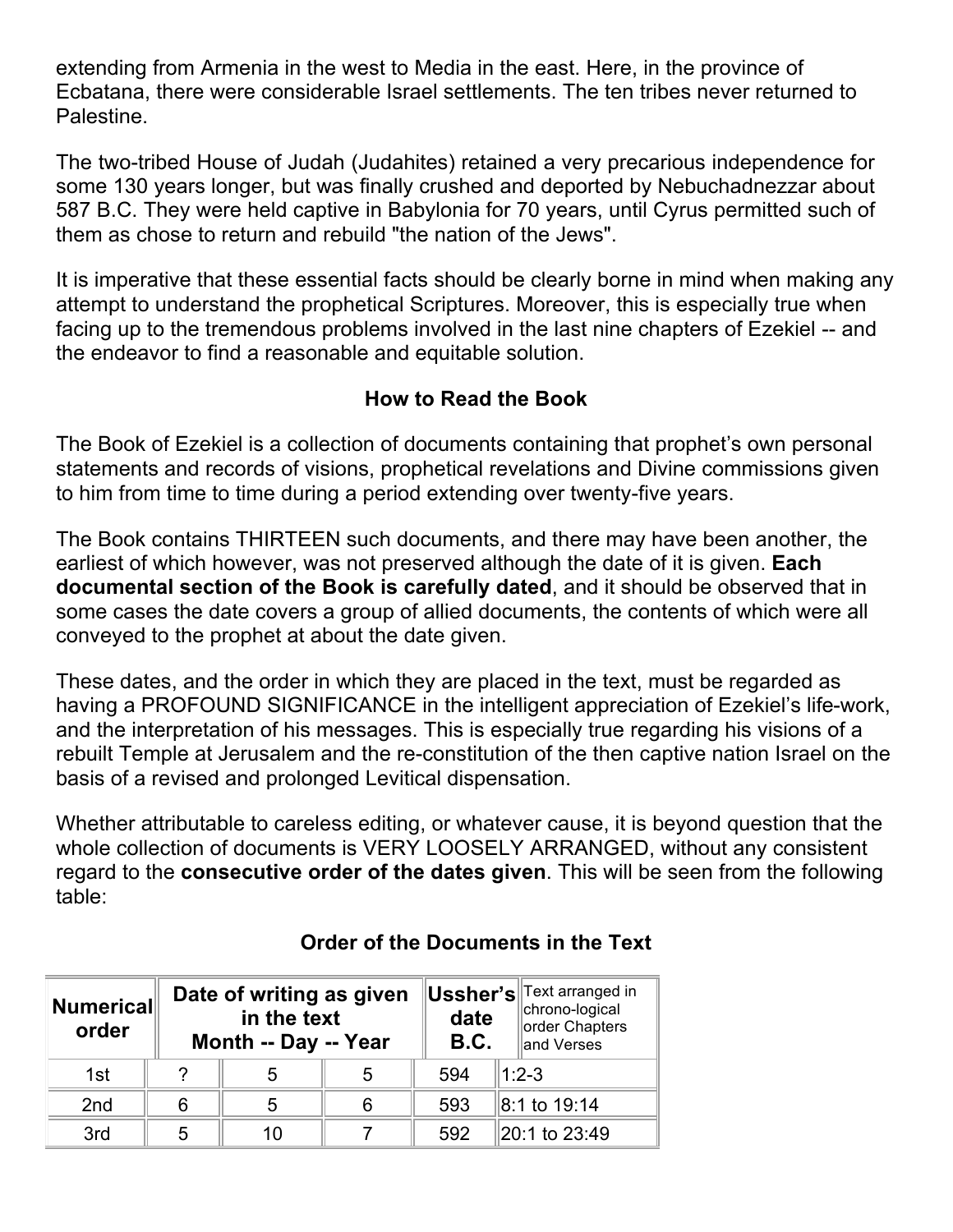extending from Armenia in the west to Media in the east. Here, in the province of Ecbatana, there were considerable Israel settlements. The ten tribes never returned to Palestine.

The two-tribed House of Judah (Judahites) retained a very precarious independence for some 130 years longer, but was finally crushed and deported by Nebuchadnezzar about 587 B.C. They were held captive in Babylonia for 70 years, until Cyrus permitted such of them as chose to return and rebuild "the nation of the Jews".

It is imperative that these essential facts should be clearly borne in mind when making any attempt to understand the prophetical Scriptures. Moreover, this is especially true when facing up to the tremendous problems involved in the last nine chapters of Ezekiel -- and the endeavor to find a reasonable and equitable solution.

#### **How to Read the Book**

The Book of Ezekiel is a collection of documents containing that prophet's own personal statements and records of visions, prophetical revelations and Divine commissions given to him from time to time during a period extending over twenty-five years.

The Book contains THIRTEEN such documents, and there may have been another, the earliest of which however, was not preserved although the date of it is given. **Each documental section of the Book is carefully dated**, and it should be observed that in some cases the date covers a group of allied documents, the contents of which were all conveyed to the prophet at about the date given.

These dates, and the order in which they are placed in the text, must be regarded as having a PROFOUND SIGNIFICANCE in the intelligent appreciation of Ezekiel's life-work, and the interpretation of his messages. This is especially true regarding his visions of a rebuilt Temple at Jerusalem and the re-constitution of the then captive nation Israel on the basis of a revised and prolonged Levitical dispensation.

Whether attributable to careless editing, or whatever cause, it is beyond question that the whole collection of documents is VERY LOOSELY ARRANGED, without any consistent regard to the **consecutive order of the dates given**. This will be seen from the following table:

| <b>Numerical</b><br>order |   | Date of writing as given<br>in the text<br>Month -- Day -- Year |   |     | Ussher's Text arranged in<br>chrono-logical<br>order Chapters<br>and Verses |
|---------------------------|---|-----------------------------------------------------------------|---|-----|-----------------------------------------------------------------------------|
| 1st                       | ? | 5                                                               | 5 | 594 | $1:2-3$                                                                     |
| 2 <sub>nd</sub>           | 6 | 5                                                               | 6 | 593 |                                                                             |
| 3rd                       | 5 | 10                                                              |   | 592 | 20:1 to 23:49                                                               |

#### **Order of the Documents in the Text**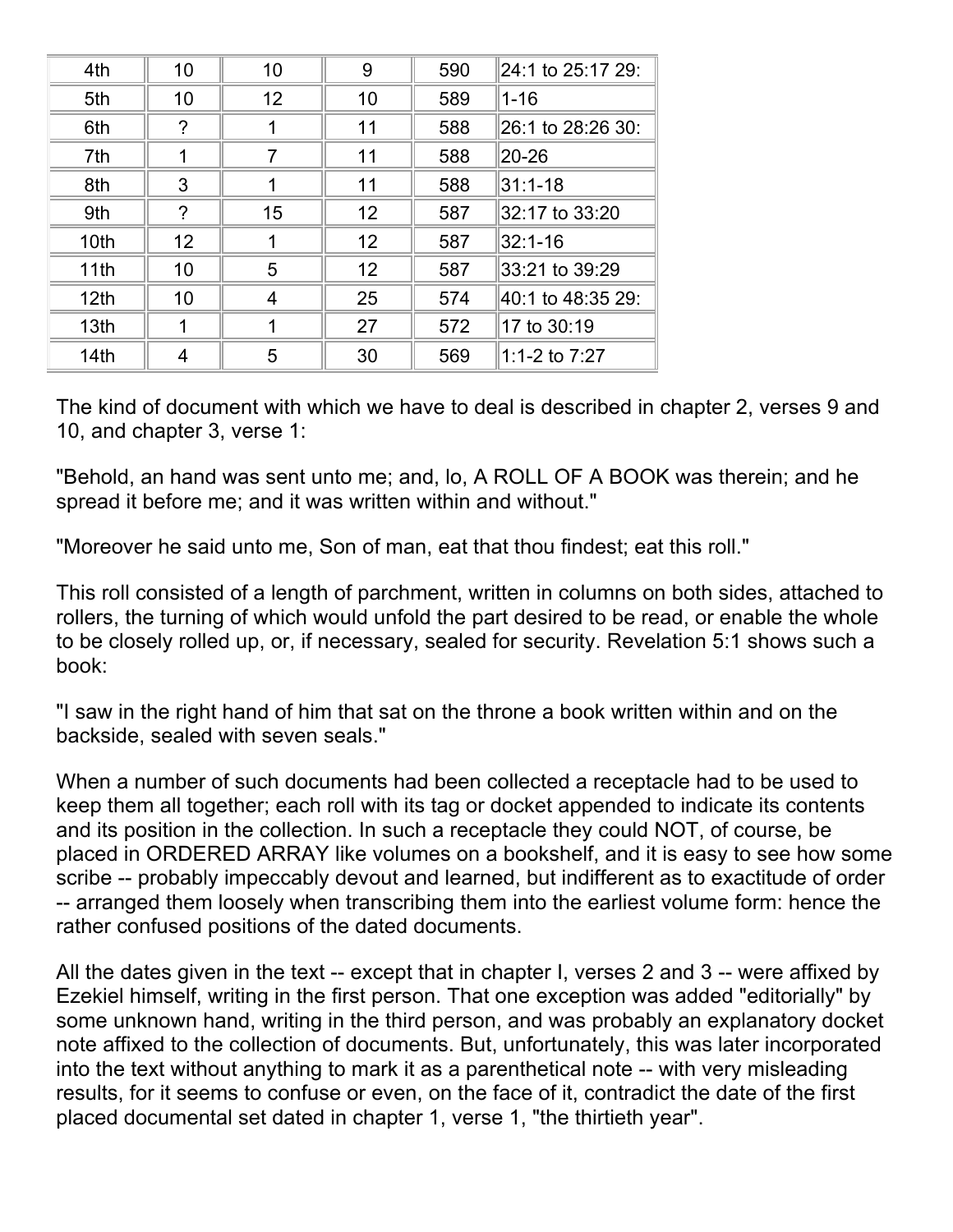| 4th              | 10 | 10 | 9  | 590 | 24:1 to 25:17 29: |  |
|------------------|----|----|----|-----|-------------------|--|
| 5th              | 10 | 12 | 10 | 589 | $1 - 16$          |  |
| 6th              | ?  |    | 11 | 588 | 26:1 to 28:26 30: |  |
| 7th              | 1  | 7  | 11 | 588 | 20-26             |  |
| 8th              | 3  |    | 11 | 588 | 31:1-18           |  |
| 9th              | ?  | 15 | 12 | 587 | 32:17 to 33:20    |  |
| 10th             | 12 |    | 12 | 587 | 32:1-16           |  |
| 11th             | 10 | 5  | 12 | 587 | 33:21 to 39:29    |  |
| 12 <sub>th</sub> | 10 | 4  | 25 | 574 | 40:1 to 48:35 29: |  |
| 13th             |    |    | 27 | 572 | 17 to 30:19       |  |
| 14th             | 4  | 5  | 30 | 569 | 1:1-2 to 7:27     |  |

The kind of document with which we have to deal is described in chapter 2, verses 9 and 10, and chapter 3, verse 1:

"Behold, an hand was sent unto me; and, lo, A ROLL OF A BOOK was therein; and he spread it before me; and it was written within and without."

"Moreover he said unto me, Son of man, eat that thou findest; eat this roll."

This roll consisted of a length of parchment, written in columns on both sides, attached to rollers, the turning of which would unfold the part desired to be read, or enable the whole to be closely rolled up, or, if necessary, sealed for security. Revelation 5:1 shows such a book:

"I saw in the right hand of him that sat on the throne a book written within and on the backside, sealed with seven seals."

When a number of such documents had been collected a receptacle had to be used to keep them all together; each roll with its tag or docket appended to indicate its contents and its position in the collection. In such a receptacle they could NOT, of course, be placed in ORDERED ARRAY like volumes on a bookshelf, and it is easy to see how some scribe -- probably impeccably devout and learned, but indifferent as to exactitude of order -- arranged them loosely when transcribing them into the earliest volume form: hence the rather confused positions of the dated documents.

All the dates given in the text -- except that in chapter I, verses 2 and 3 -- were affixed by Ezekiel himself, writing in the first person. That one exception was added "editorially" by some unknown hand, writing in the third person, and was probably an explanatory docket note affixed to the collection of documents. But, unfortunately, this was later incorporated into the text without anything to mark it as a parenthetical note -- with very misleading results, for it seems to confuse or even, on the face of it, contradict the date of the first placed documental set dated in chapter 1, verse 1, "the thirtieth year".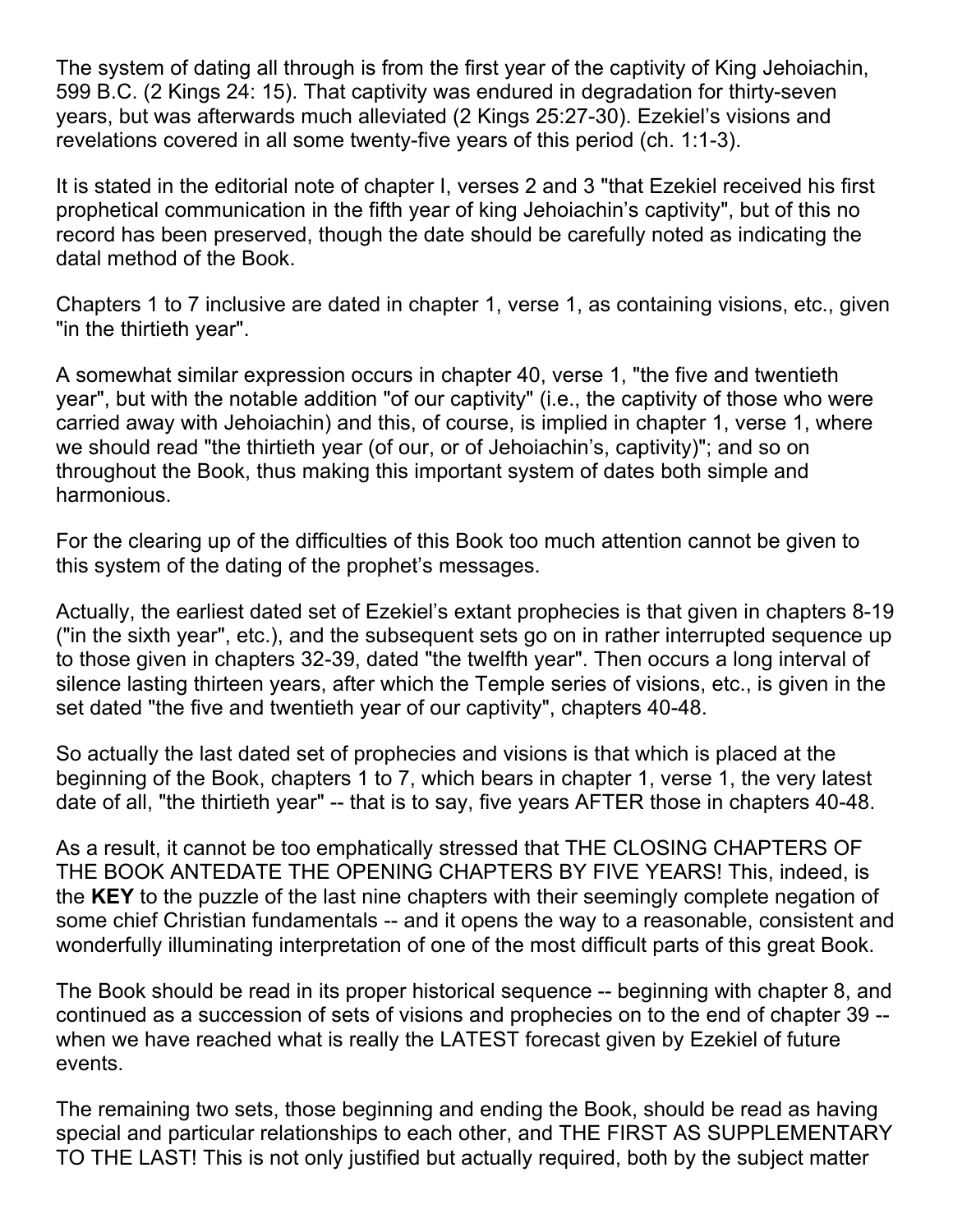The system of dating all through is from the first year of the captivity of King Jehoiachin, 599 B.C. (2 Kings 24: 15). That captivity was endured in degradation for thirty-seven years, but was afterwards much alleviated (2 Kings 25:27-30). Ezekiel's visions and revelations covered in all some twenty-five years of this period (ch. 1:1-3).

It is stated in the editorial note of chapter I, verses 2 and 3 "that Ezekiel received his first prophetical communication in the fifth year of king Jehoiachin's captivity", but of this no record has been preserved, though the date should be carefully noted as indicating the datal method of the Book.

Chapters 1 to 7 inclusive are dated in chapter 1, verse 1, as containing visions, etc., given "in the thirtieth year".

A somewhat similar expression occurs in chapter 40, verse 1, "the five and twentieth year", but with the notable addition "of our captivity" (i.e., the captivity of those who were carried away with Jehoiachin) and this, of course, is implied in chapter 1, verse 1, where we should read "the thirtieth year (of our, or of Jehoiachin's, captivity)"; and so on throughout the Book, thus making this important system of dates both simple and harmonious.

For the clearing up of the difficulties of this Book too much attention cannot be given to this system of the dating of the prophet's messages.

Actually, the earliest dated set of Ezekiel's extant prophecies is that given in chapters 8-19 ("in the sixth year", etc.), and the subsequent sets go on in rather interrupted sequence up to those given in chapters 32-39, dated "the twelfth year". Then occurs a long interval of silence lasting thirteen years, after which the Temple series of visions, etc., is given in the set dated "the five and twentieth year of our captivity", chapters 40-48.

So actually the last dated set of prophecies and visions is that which is placed at the beginning of the Book, chapters 1 to 7, which bears in chapter 1, verse 1, the very latest date of all, "the thirtieth year" -- that is to say, five years AFTER those in chapters 40-48.

As a result, it cannot be too emphatically stressed that THE CLOSING CHAPTERS OF THE BOOK ANTEDATE THE OPENING CHAPTERS BY FIVE YEARS! This, indeed, is the **KEY** to the puzzle of the last nine chapters with their seemingly complete negation of some chief Christian fundamentals -- and it opens the way to a reasonable, consistent and wonderfully illuminating interpretation of one of the most difficult parts of this great Book.

The Book should be read in its proper historical sequence -- beginning with chapter 8, and continued as a succession of sets of visions and prophecies on to the end of chapter 39 - when we have reached what is really the LATEST forecast given by Ezekiel of future events.

The remaining two sets, those beginning and ending the Book, should be read as having special and particular relationships to each other, and THE FIRST AS SUPPLEMENTARY TO THE LAST! This is not only justified but actually required, both by the subject matter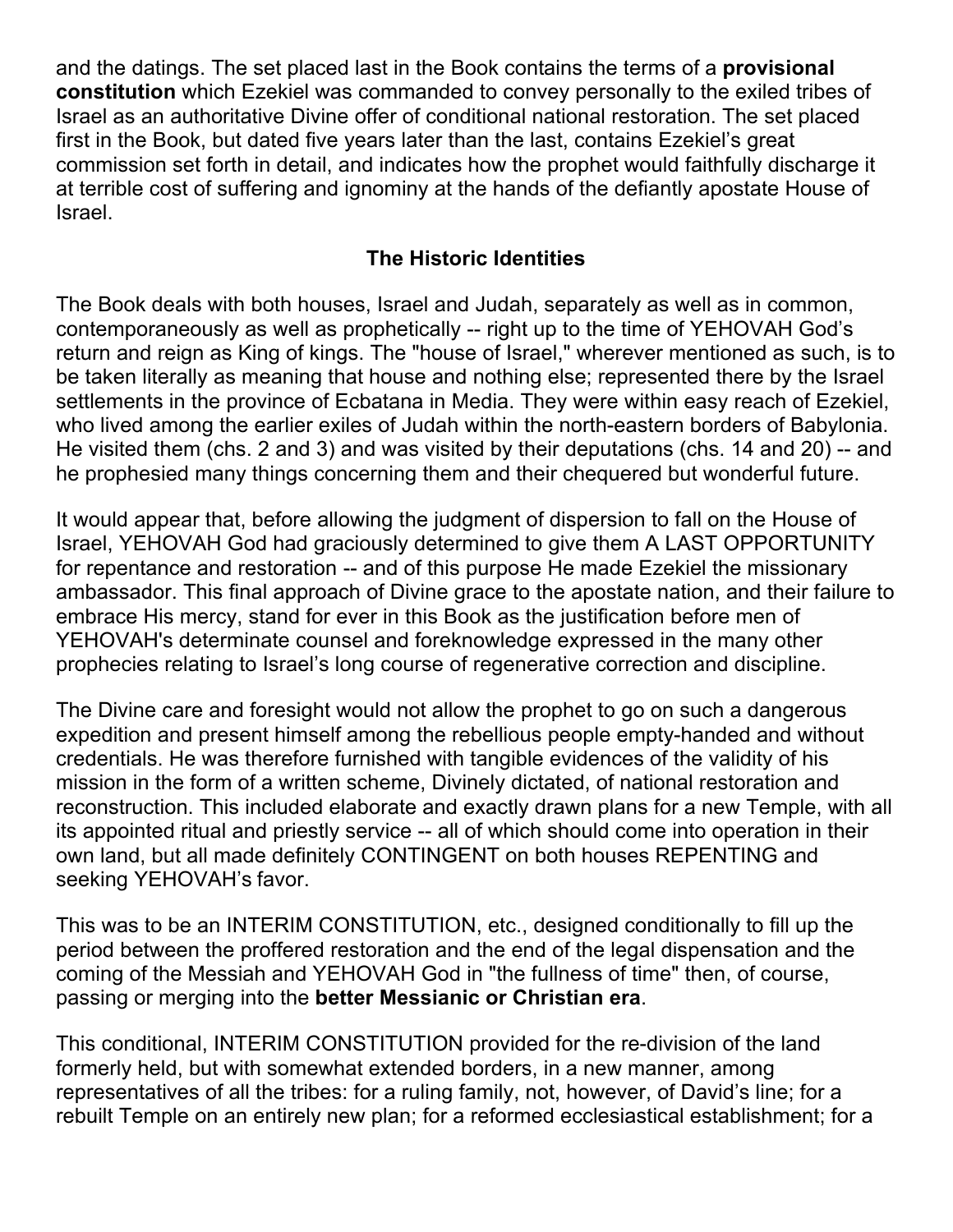and the datings. The set placed last in the Book contains the terms of a **provisional constitution** which Ezekiel was commanded to convey personally to the exiled tribes of Israel as an authoritative Divine offer of conditional national restoration. The set placed first in the Book, but dated five years later than the last, contains Ezekiel's great commission set forth in detail, and indicates how the prophet would faithfully discharge it at terrible cost of suffering and ignominy at the hands of the defiantly apostate House of Israel.

#### **The Historic Identities**

The Book deals with both houses, Israel and Judah, separately as well as in common, contemporaneously as well as prophetically -- right up to the time of YEHOVAH God's return and reign as King of kings. The "house of Israel," wherever mentioned as such, is to be taken literally as meaning that house and nothing else; represented there by the Israel settlements in the province of Ecbatana in Media. They were within easy reach of Ezekiel, who lived among the earlier exiles of Judah within the north-eastern borders of Babylonia. He visited them (chs. 2 and 3) and was visited by their deputations (chs. 14 and 20) -- and he prophesied many things concerning them and their chequered but wonderful future.

It would appear that, before allowing the judgment of dispersion to fall on the House of Israel, YEHOVAH God had graciously determined to give them A LAST OPPORTUNITY for repentance and restoration -- and of this purpose He made Ezekiel the missionary ambassador. This final approach of Divine grace to the apostate nation, and their failure to embrace His mercy, stand for ever in this Book as the justification before men of YEHOVAH's determinate counsel and foreknowledge expressed in the many other prophecies relating to Israel's long course of regenerative correction and discipline.

The Divine care and foresight would not allow the prophet to go on such a dangerous expedition and present himself among the rebellious people empty-handed and without credentials. He was therefore furnished with tangible evidences of the validity of his mission in the form of a written scheme, Divinely dictated, of national restoration and reconstruction. This included elaborate and exactly drawn plans for a new Temple, with all its appointed ritual and priestly service -- all of which should come into operation in their own land, but all made definitely CONTINGENT on both houses REPENTING and seeking YEHOVAH's favor.

This was to be an INTERIM CONSTITUTION, etc., designed conditionally to fill up the period between the proffered restoration and the end of the legal dispensation and the coming of the Messiah and YEHOVAH God in "the fullness of time" then, of course, passing or merging into the **better Messianic or Christian era**.

This conditional, INTERIM CONSTITUTION provided for the re-division of the land formerly held, but with somewhat extended borders, in a new manner, among representatives of all the tribes: for a ruling family, not, however, of David's line; for a rebuilt Temple on an entirely new plan; for a reformed ecclesiastical establishment; for a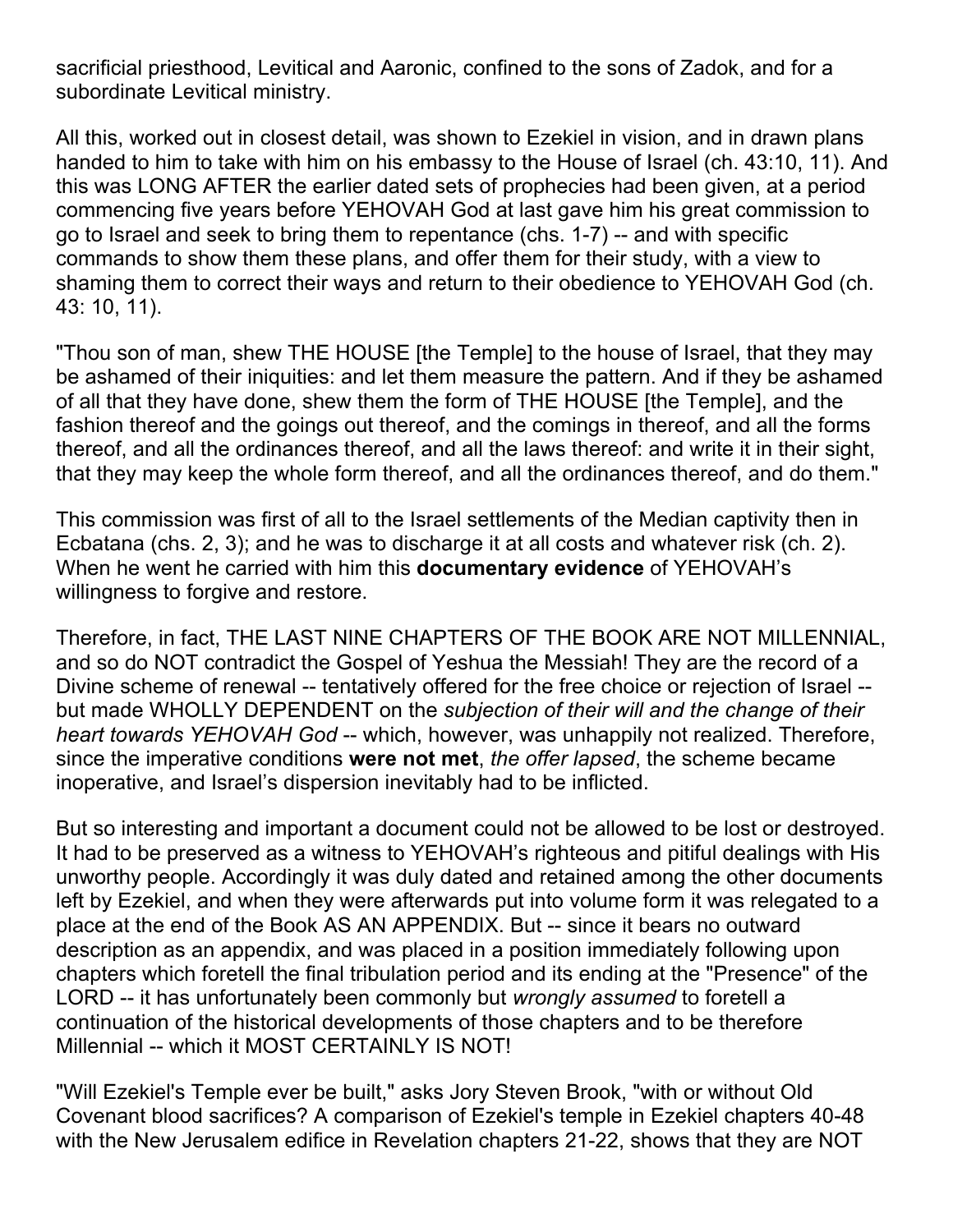sacrificial priesthood, Levitical and Aaronic, confined to the sons of Zadok, and for a subordinate Levitical ministry.

All this, worked out in closest detail, was shown to Ezekiel in vision, and in drawn plans handed to him to take with him on his embassy to the House of Israel (ch. 43:10, 11). And this was LONG AFTER the earlier dated sets of prophecies had been given, at a period commencing five years before YEHOVAH God at last gave him his great commission to go to Israel and seek to bring them to repentance (chs. 1-7) -- and with specific commands to show them these plans, and offer them for their study, with a view to shaming them to correct their ways and return to their obedience to YEHOVAH God (ch. 43: 10, 11).

"Thou son of man, shew THE HOUSE [the Temple] to the house of Israel, that they may be ashamed of their iniquities: and let them measure the pattern. And if they be ashamed of all that they have done, shew them the form of THE HOUSE [the Temple], and the fashion thereof and the goings out thereof, and the comings in thereof, and all the forms thereof, and all the ordinances thereof, and all the laws thereof: and write it in their sight, that they may keep the whole form thereof, and all the ordinances thereof, and do them."

This commission was first of all to the Israel settlements of the Median captivity then in Ecbatana (chs. 2, 3); and he was to discharge it at all costs and whatever risk (ch. 2). When he went he carried with him this **documentary evidence** of YEHOVAH's willingness to forgive and restore.

Therefore, in fact, THE LAST NINE CHAPTERS OF THE BOOK ARE NOT MILLENNIAL, and so do NOT contradict the Gospel of Yeshua the Messiah! They are the record of a Divine scheme of renewal -- tentatively offered for the free choice or rejection of Israel - but made WHOLLY DEPENDENT on the *subjection of their will and the change of their heart towards YEHOVAH God* -- which, however, was unhappily not realized. Therefore, since the imperative conditions **were not met**, *the offer lapsed*, the scheme became inoperative, and Israel's dispersion inevitably had to be inflicted.

But so interesting and important a document could not be allowed to be lost or destroyed. It had to be preserved as a witness to YEHOVAH's righteous and pitiful dealings with His unworthy people. Accordingly it was duly dated and retained among the other documents left by Ezekiel, and when they were afterwards put into volume form it was relegated to a place at the end of the Book AS AN APPENDIX. But -- since it bears no outward description as an appendix, and was placed in a position immediately following upon chapters which foretell the final tribulation period and its ending at the "Presence" of the LORD -- it has unfortunately been commonly but *wrongly assumed* to foretell a continuation of the historical developments of those chapters and to be therefore Millennial -- which it MOST CERTAINLY IS NOT!

"Will Ezekiel's Temple ever be built," asks Jory Steven Brook, "with or without Old Covenant blood sacrifices? A comparison of Ezekiel's temple in Ezekiel chapters 40-48 with the New Jerusalem edifice in Revelation chapters 21-22, shows that they are NOT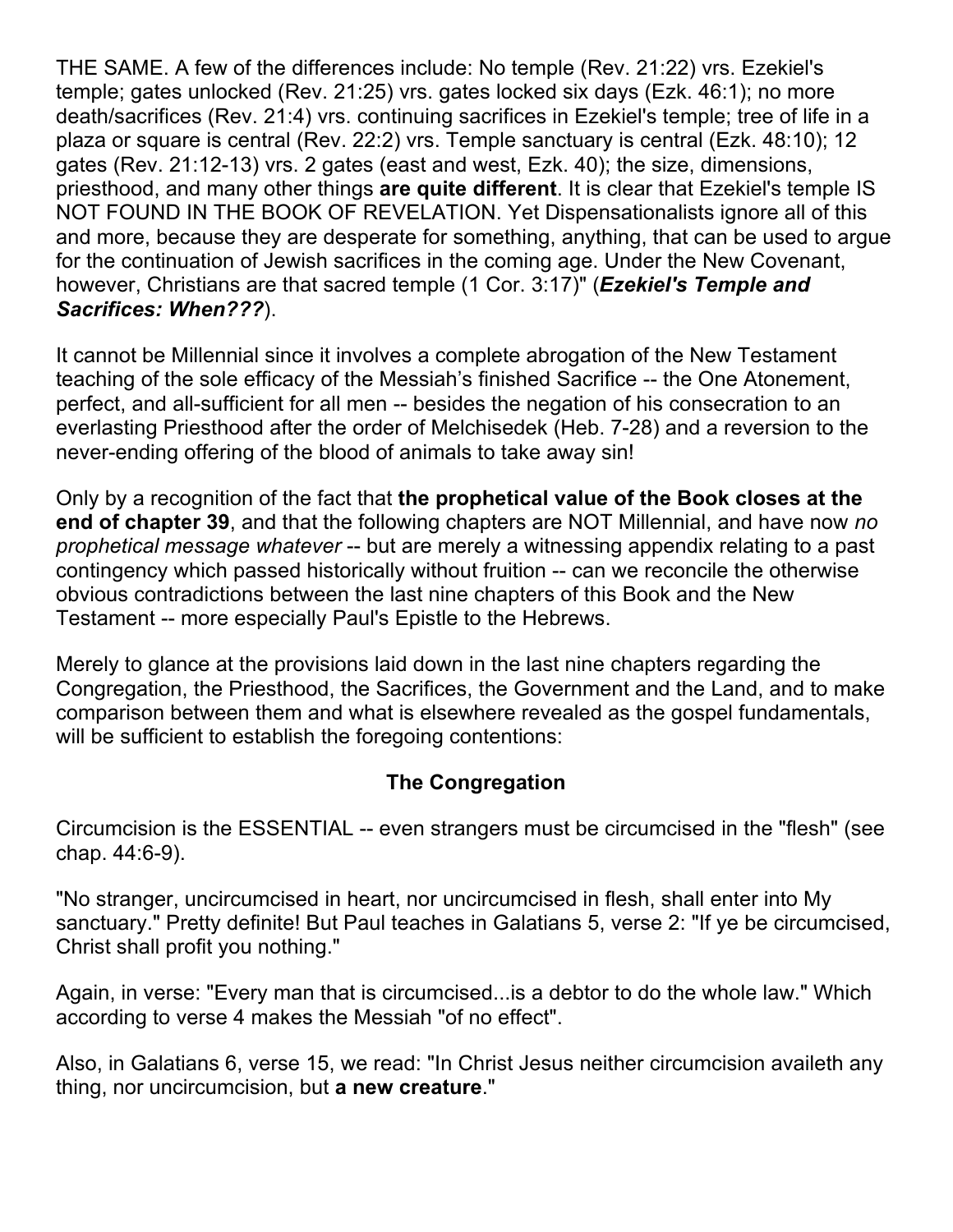THE SAME. A few of the differences include: No temple (Rev. 21:22) vrs. Ezekiel's temple; gates unlocked (Rev. 21:25) vrs. gates locked six days (Ezk. 46:1); no more death/sacrifices (Rev. 21:4) vrs. continuing sacrifices in Ezekiel's temple; tree of life in a plaza or square is central (Rev. 22:2) vrs. Temple sanctuary is central (Ezk. 48:10); 12 gates (Rev. 21:12-13) vrs. 2 gates (east and west, Ezk. 40); the size, dimensions, priesthood, and many other things **are quite different**. It is clear that Ezekiel's temple IS NOT FOUND IN THE BOOK OF REVELATION. Yet Dispensationalists ignore all of this and more, because they are desperate for something, anything, that can be used to argue for the continuation of Jewish sacrifices in the coming age. Under the New Covenant, however, Christians are that sacred temple (1 Cor. 3:17)" (*Ezekiel's Temple and Sacrifices: When???*).

It cannot be Millennial since it involves a complete abrogation of the New Testament teaching of the sole efficacy of the Messiah's finished Sacrifice -- the One Atonement, perfect, and all-sufficient for all men -- besides the negation of his consecration to an everlasting Priesthood after the order of Melchisedek (Heb. 7-28) and a reversion to the never-ending offering of the blood of animals to take away sin!

Only by a recognition of the fact that **the prophetical value of the Book closes at the end of chapter 39**, and that the following chapters are NOT Millennial, and have now *no prophetical message whatever* -- but are merely a witnessing appendix relating to a past contingency which passed historically without fruition -- can we reconcile the otherwise obvious contradictions between the last nine chapters of this Book and the New Testament -- more especially Paul's Epistle to the Hebrews.

Merely to glance at the provisions laid down in the last nine chapters regarding the Congregation, the Priesthood, the Sacrifices, the Government and the Land, and to make comparison between them and what is elsewhere revealed as the gospel fundamentals, will be sufficient to establish the foregoing contentions:

#### **The Congregation**

Circumcision is the ESSENTIAL -- even strangers must be circumcised in the "flesh" (see chap. 44:6-9).

"No stranger, uncircumcised in heart, nor uncircumcised in flesh, shall enter into My sanctuary." Pretty definite! But Paul teaches in Galatians 5, verse 2: "If ye be circumcised, Christ shall profit you nothing."

Again, in verse: "Every man that is circumcised...is a debtor to do the whole law." Which according to verse 4 makes the Messiah "of no effect".

Also, in Galatians 6, verse 15, we read: "In Christ Jesus neither circumcision availeth any thing, nor uncircumcision, but **a new creature**."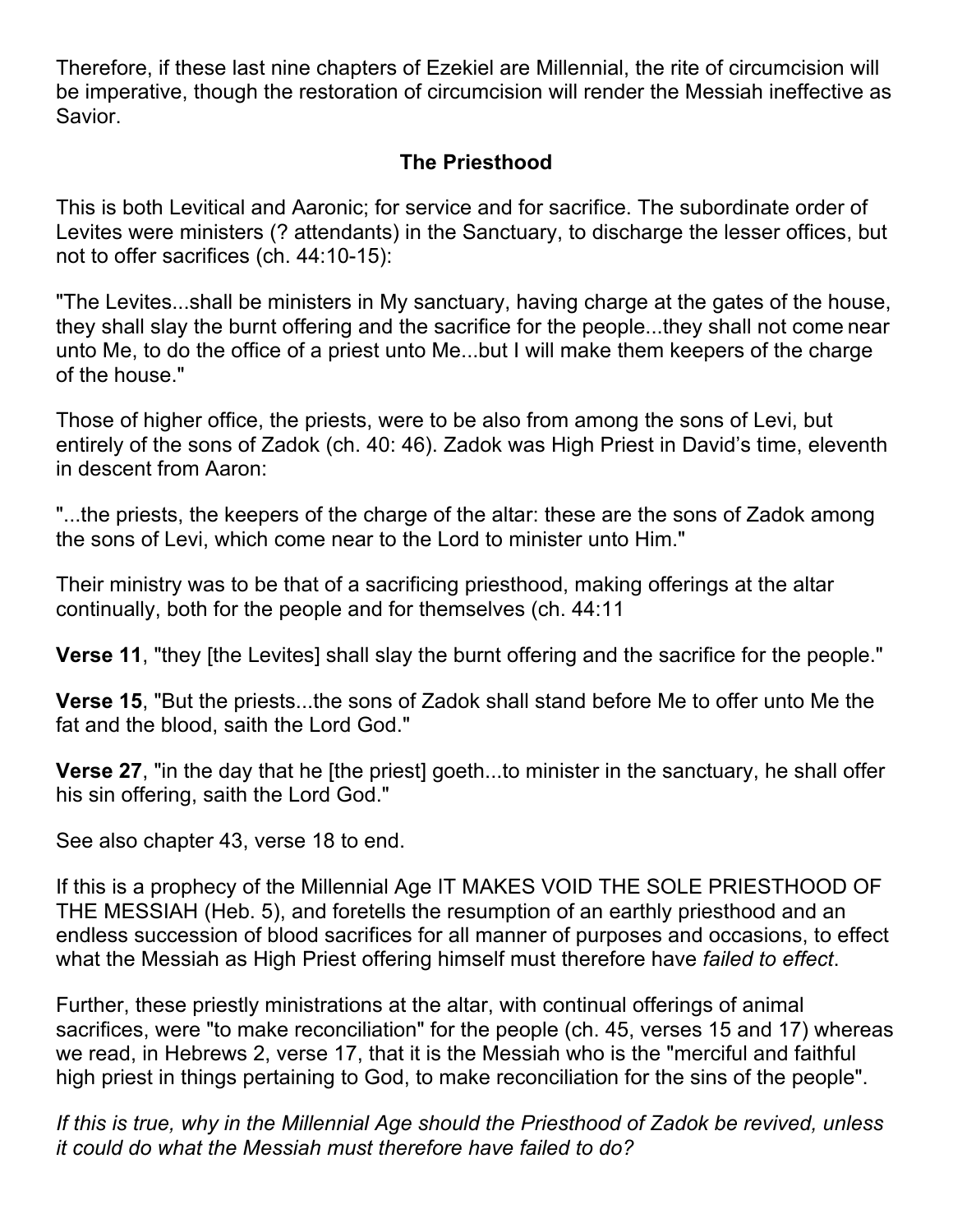Therefore, if these last nine chapters of Ezekiel are Millennial, the rite of circumcision will be imperative, though the restoration of circumcision will render the Messiah ineffective as Savior.

#### **The Priesthood**

This is both Levitical and Aaronic; for service and for sacrifice. The subordinate order of Levites were ministers (? attendants) in the Sanctuary, to discharge the lesser offices, but not to offer sacrifices (ch. 44:10-15):

"The Levites...shall be ministers in My sanctuary, having charge at the gates of the house, they shall slay the burnt offering and the sacrifice for the people...they shall not come near unto Me, to do the office of a priest unto Me...but I will make them keepers of the charge of the house."

Those of higher office, the priests, were to be also from among the sons of Levi, but entirely of the sons of Zadok (ch. 40: 46). Zadok was High Priest in David's time, eleventh in descent from Aaron:

"...the priests, the keepers of the charge of the altar: these are the sons of Zadok among the sons of Levi, which come near to the Lord to minister unto Him."

Their ministry was to be that of a sacrificing priesthood, making offerings at the altar continually, both for the people and for themselves (ch. 44:11

**Verse 11**, "they [the Levites] shall slay the burnt offering and the sacrifice for the people."

**Verse 15**, "But the priests...the sons of Zadok shall stand before Me to offer unto Me the fat and the blood, saith the Lord God."

**Verse 27**, "in the day that he [the priest] goeth...to minister in the sanctuary, he shall offer his sin offering, saith the Lord God."

See also chapter 43, verse 18 to end.

If this is a prophecy of the Millennial Age IT MAKES VOID THE SOLE PRIESTHOOD OF THE MESSIAH (Heb. 5), and foretells the resumption of an earthly priesthood and an endless succession of blood sacrifices for all manner of purposes and occasions, to effect what the Messiah as High Priest offering himself must therefore have *failed to effect*.

Further, these priestly ministrations at the altar, with continual offerings of animal sacrifices, were "to make reconciliation" for the people (ch. 45, verses 15 and 17) whereas we read, in Hebrews 2, verse 17, that it is the Messiah who is the "merciful and faithful high priest in things pertaining to God, to make reconciliation for the sins of the people".

*If this is true, why in the Millennial Age should the Priesthood of Zadok be revived, unless it could do what the Messiah must therefore have failed to do?*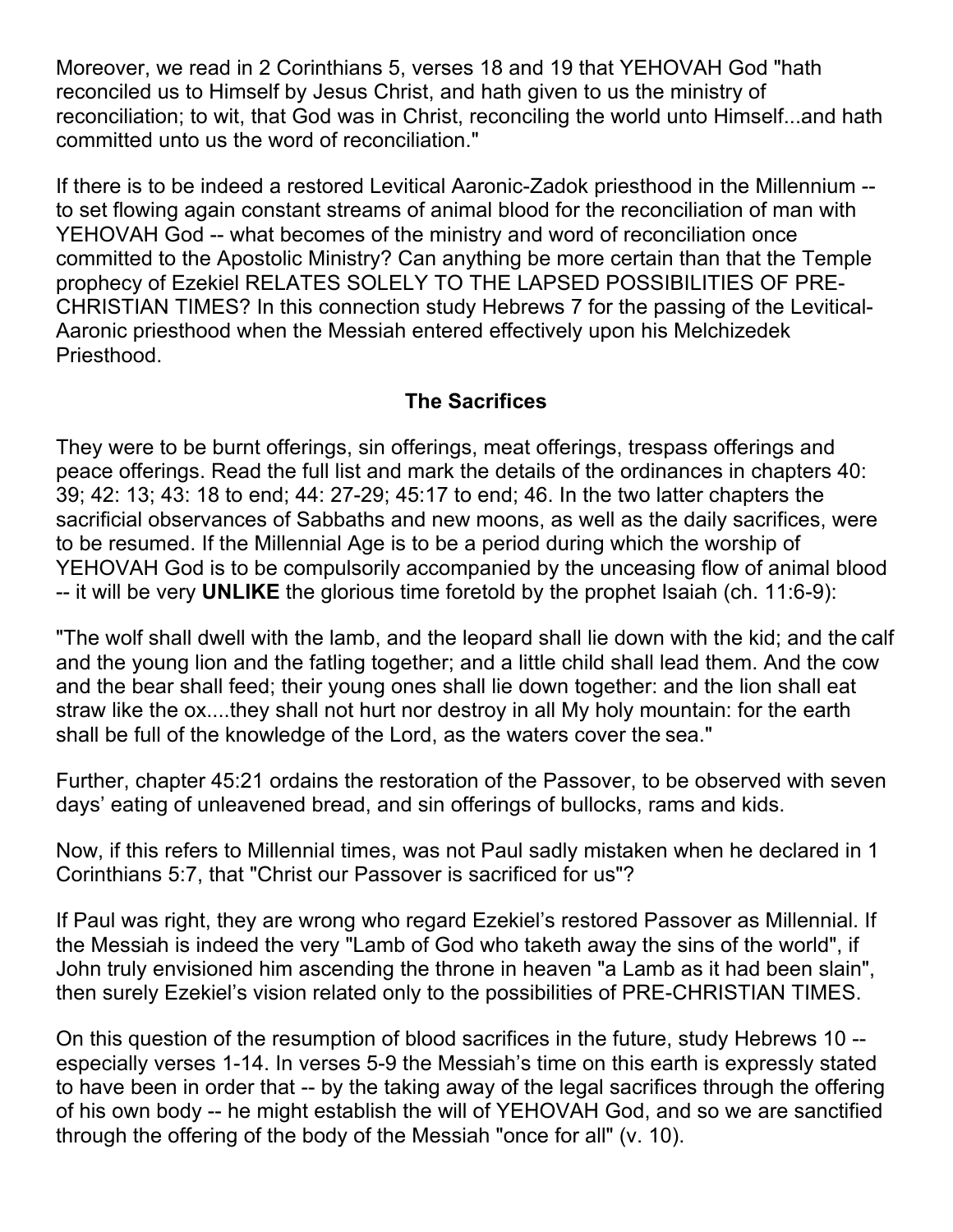Moreover, we read in 2 Corinthians 5, verses 18 and 19 that YEHOVAH God "hath reconciled us to Himself by Jesus Christ, and hath given to us the ministry of reconciliation; to wit, that God was in Christ, reconciling the world unto Himself...and hath committed unto us the word of reconciliation."

If there is to be indeed a restored Levitical Aaronic-Zadok priesthood in the Millennium - to set flowing again constant streams of animal blood for the reconciliation of man with YEHOVAH God -- what becomes of the ministry and word of reconciliation once committed to the Apostolic Ministry? Can anything be more certain than that the Temple prophecy of Ezekiel RELATES SOLELY TO THE LAPSED POSSIBILITIES OF PRE-CHRISTIAN TIMES? In this connection study Hebrews 7 for the passing of the Levitical-Aaronic priesthood when the Messiah entered effectively upon his Melchizedek Priesthood.

#### **The Sacrifices**

They were to be burnt offerings, sin offerings, meat offerings, trespass offerings and peace offerings. Read the full list and mark the details of the ordinances in chapters 40: 39; 42: 13; 43: 18 to end; 44: 27-29; 45:17 to end; 46. In the two latter chapters the sacrificial observances of Sabbaths and new moons, as well as the daily sacrifices, were to be resumed. If the Millennial Age is to be a period during which the worship of YEHOVAH God is to be compulsorily accompanied by the unceasing flow of animal blood -- it will be very **UNLIKE** the glorious time foretold by the prophet Isaiah (ch. 11:6-9):

"The wolf shall dwell with the lamb, and the leopard shall lie down with the kid; and the calf and the young lion and the fatling together; and a little child shall lead them. And the cow and the bear shall feed; their young ones shall lie down together: and the lion shall eat straw like the ox....they shall not hurt nor destroy in all My holy mountain: for the earth shall be full of the knowledge of the Lord, as the waters cover the sea."

Further, chapter 45:21 ordains the restoration of the Passover, to be observed with seven days' eating of unleavened bread, and sin offerings of bullocks, rams and kids.

Now, if this refers to Millennial times, was not Paul sadly mistaken when he declared in 1 Corinthians 5:7, that "Christ our Passover is sacrificed for us"?

If Paul was right, they are wrong who regard Ezekiel's restored Passover as Millennial. If the Messiah is indeed the very "Lamb of God who taketh away the sins of the world", if John truly envisioned him ascending the throne in heaven "a Lamb as it had been slain", then surely Ezekiel's vision related only to the possibilities of PRE-CHRISTIAN TIMES.

On this question of the resumption of blood sacrifices in the future, study Hebrews 10 - especially verses 1-14. In verses 5-9 the Messiah's time on this earth is expressly stated to have been in order that -- by the taking away of the legal sacrifices through the offering of his own body -- he might establish the will of YEHOVAH God, and so we are sanctified through the offering of the body of the Messiah "once for all" (v. 10).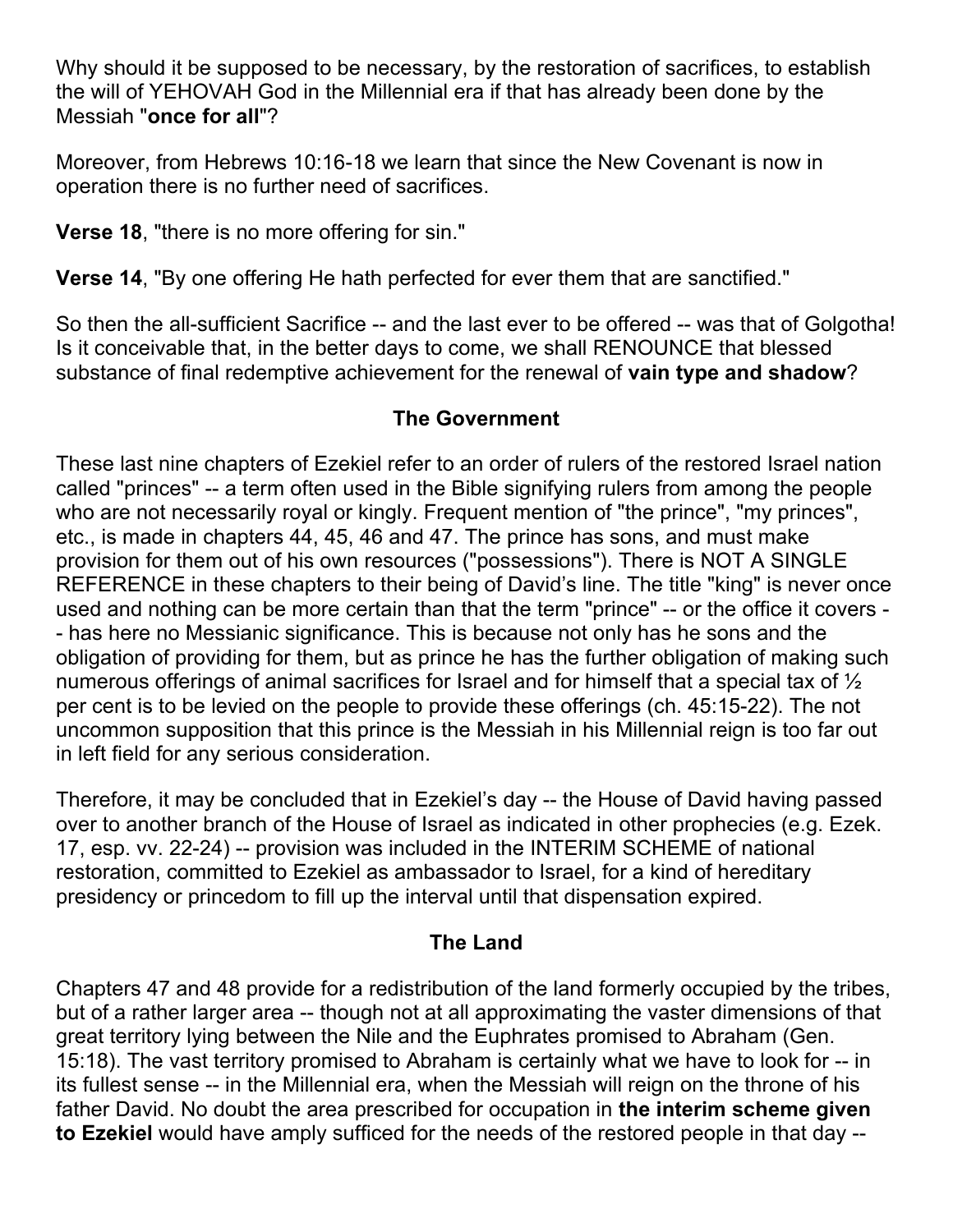Why should it be supposed to be necessary, by the restoration of sacrifices, to establish the will of YEHOVAH God in the Millennial era if that has already been done by the Messiah "**once for all**"?

Moreover, from Hebrews 10:16-18 we learn that since the New Covenant is now in operation there is no further need of sacrifices.

**Verse 18**, "there is no more offering for sin."

**Verse 14**, "By one offering He hath perfected for ever them that are sanctified."

So then the all-sufficient Sacrifice -- and the last ever to be offered -- was that of Golgotha! Is it conceivable that, in the better days to come, we shall RENOUNCE that blessed substance of final redemptive achievement for the renewal of **vain type and shadow**?

#### **The Government**

These last nine chapters of Ezekiel refer to an order of rulers of the restored Israel nation called "princes" -- a term often used in the Bible signifying rulers from among the people who are not necessarily royal or kingly. Frequent mention of "the prince", "my princes", etc., is made in chapters 44, 45, 46 and 47. The prince has sons, and must make provision for them out of his own resources ("possessions"). There is NOT A SINGLE REFERENCE in these chapters to their being of David's line. The title "king" is never once used and nothing can be more certain than that the term "prince" -- or the office it covers - - has here no Messianic significance. This is because not only has he sons and the obligation of providing for them, but as prince he has the further obligation of making such numerous offerings of animal sacrifices for Israel and for himself that a special tax of ½ per cent is to be levied on the people to provide these offerings (ch. 45:15-22). The not uncommon supposition that this prince is the Messiah in his Millennial reign is too far out in left field for any serious consideration.

Therefore, it may be concluded that in Ezekiel's day -- the House of David having passed over to another branch of the House of Israel as indicated in other prophecies (e.g. Ezek. 17, esp. vv. 22-24) -- provision was included in the INTERIM SCHEME of national restoration, committed to Ezekiel as ambassador to Israel, for a kind of hereditary presidency or princedom to fill up the interval until that dispensation expired.

#### **The Land**

Chapters 47 and 48 provide for a redistribution of the land formerly occupied by the tribes, but of a rather larger area -- though not at all approximating the vaster dimensions of that great territory lying between the Nile and the Euphrates promised to Abraham (Gen. 15:18). The vast territory promised to Abraham is certainly what we have to look for -- in its fullest sense -- in the Millennial era, when the Messiah will reign on the throne of his father David. No doubt the area prescribed for occupation in **the interim scheme given to Ezekiel** would have amply sufficed for the needs of the restored people in that day --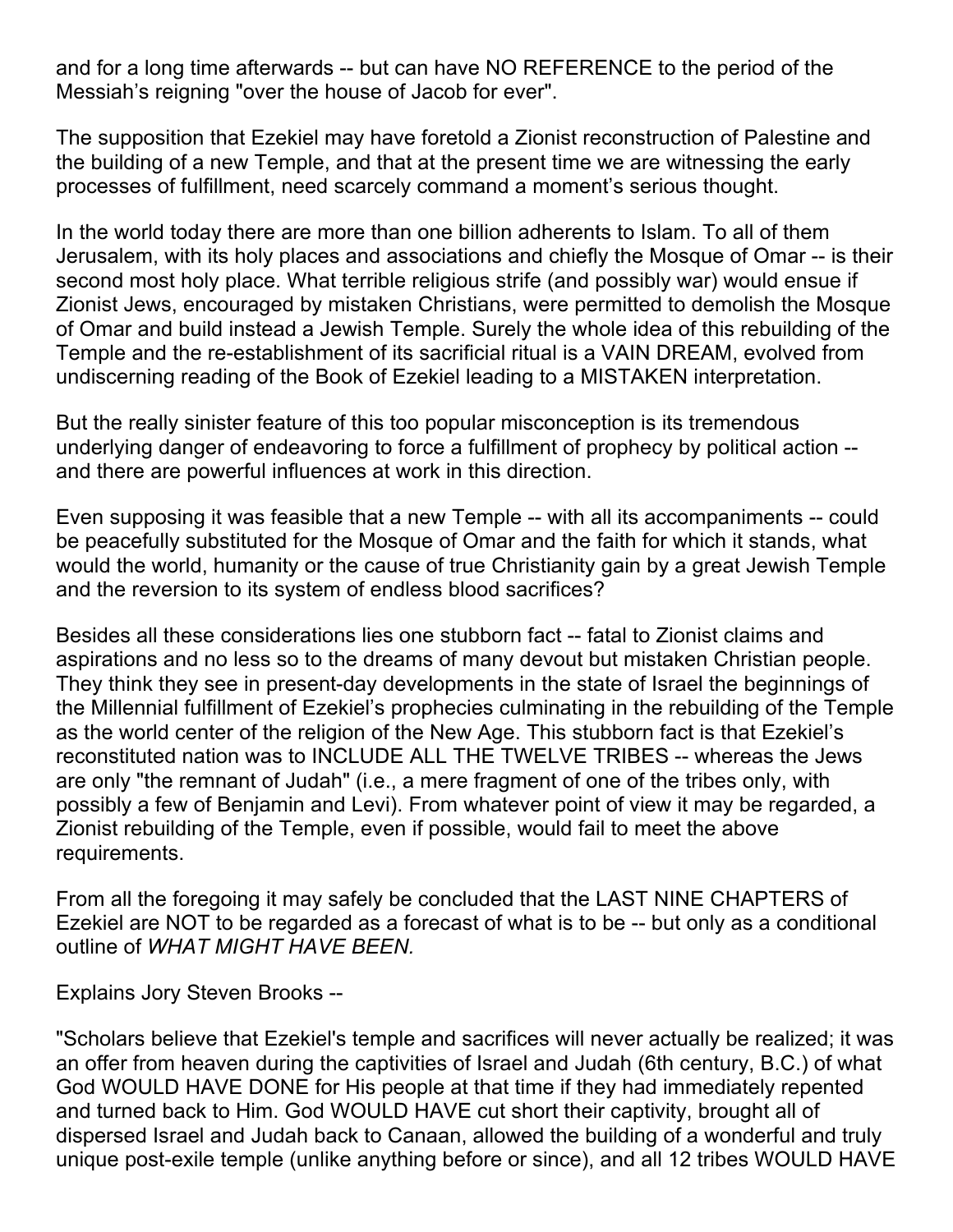and for a long time afterwards -- but can have NO REFERENCE to the period of the Messiah's reigning "over the house of Jacob for ever".

The supposition that Ezekiel may have foretold a Zionist reconstruction of Palestine and the building of a new Temple, and that at the present time we are witnessing the early processes of fulfillment, need scarcely command a moment's serious thought.

In the world today there are more than one billion adherents to Islam. To all of them Jerusalem, with its holy places and associations and chiefly the Mosque of Omar -- is their second most holy place. What terrible religious strife (and possibly war) would ensue if Zionist Jews, encouraged by mistaken Christians, were permitted to demolish the Mosque of Omar and build instead a Jewish Temple. Surely the whole idea of this rebuilding of the Temple and the re-establishment of its sacrificial ritual is a VAIN DREAM, evolved from undiscerning reading of the Book of Ezekiel leading to a MISTAKEN interpretation.

But the really sinister feature of this too popular misconception is its tremendous underlying danger of endeavoring to force a fulfillment of prophecy by political action - and there are powerful influences at work in this direction.

Even supposing it was feasible that a new Temple -- with all its accompaniments -- could be peacefully substituted for the Mosque of Omar and the faith for which it stands, what would the world, humanity or the cause of true Christianity gain by a great Jewish Temple and the reversion to its system of endless blood sacrifices?

Besides all these considerations lies one stubborn fact -- fatal to Zionist claims and aspirations and no less so to the dreams of many devout but mistaken Christian people. They think they see in present-day developments in the state of Israel the beginnings of the Millennial fulfillment of Ezekiel's prophecies culminating in the rebuilding of the Temple as the world center of the religion of the New Age. This stubborn fact is that Ezekiel's reconstituted nation was to INCLUDE ALL THE TWELVE TRIBES -- whereas the Jews are only "the remnant of Judah" (i.e., a mere fragment of one of the tribes only, with possibly a few of Benjamin and Levi). From whatever point of view it may be regarded, a Zionist rebuilding of the Temple, even if possible, would fail to meet the above requirements.

From all the foregoing it may safely be concluded that the LAST NINE CHAPTERS of Ezekiel are NOT to be regarded as a forecast of what is to be -- but only as a conditional outline of *WHAT MIGHT HAVE BEEN.*

Explains Jory Steven Brooks --

"Scholars believe that Ezekiel's temple and sacrifices will never actually be realized; it was an offer from heaven during the captivities of Israel and Judah (6th century, B.C.) of what God WOULD HAVE DONE for His people at that time if they had immediately repented and turned back to Him. God WOULD HAVE cut short their captivity, brought all of dispersed Israel and Judah back to Canaan, allowed the building of a wonderful and truly unique post-exile temple (unlike anything before or since), and all 12 tribes WOULD HAVE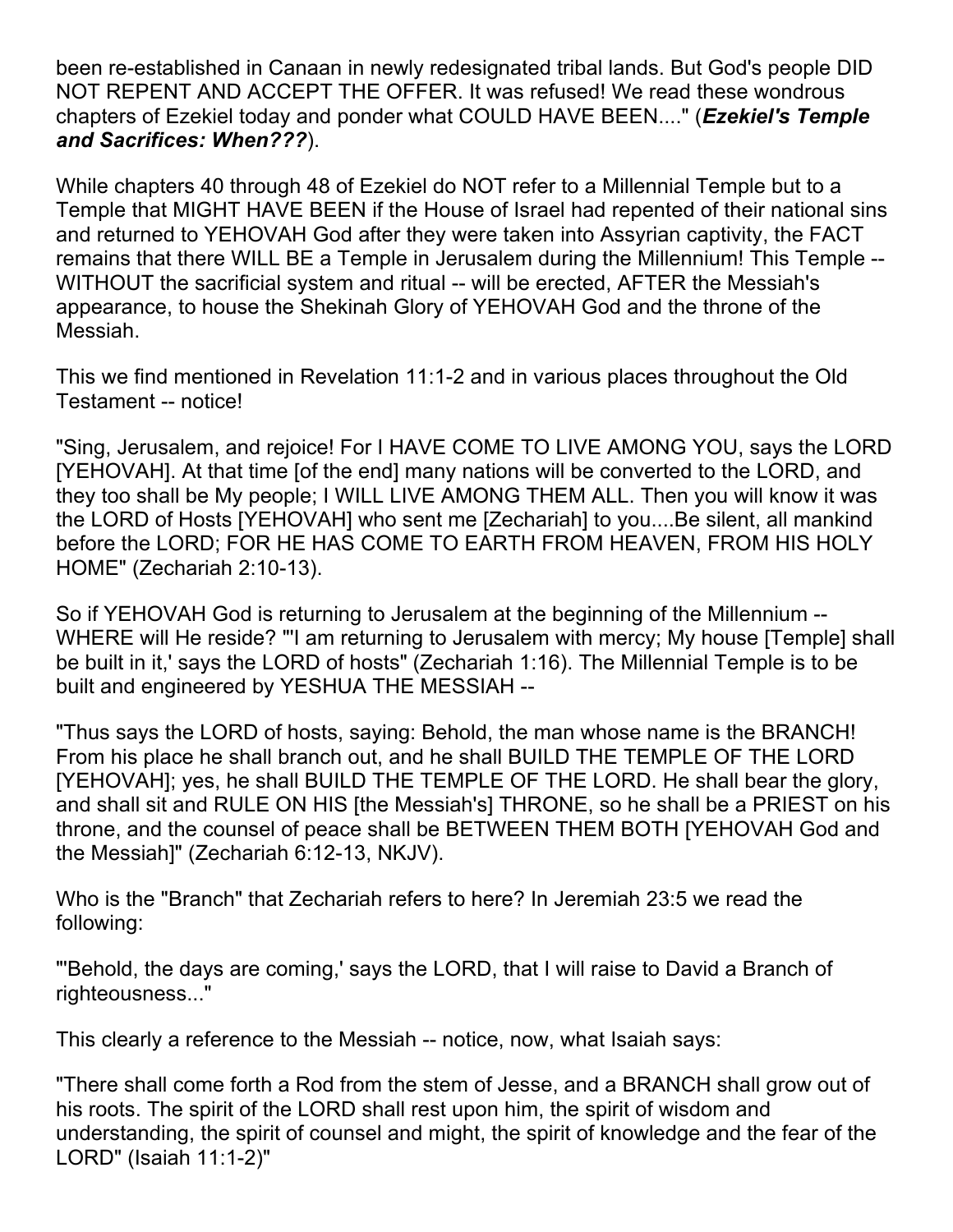been re-established in Canaan in newly redesignated tribal lands. But God's people DID NOT REPENT AND ACCEPT THE OFFER. It was refused! We read these wondrous chapters of Ezekiel today and ponder what COULD HAVE BEEN...." (*Ezekiel's Temple and Sacrifices: When???*).

While chapters 40 through 48 of Ezekiel do NOT refer to a Millennial Temple but to a Temple that MIGHT HAVE BEEN if the House of Israel had repented of their national sins and returned to YEHOVAH God after they were taken into Assyrian captivity, the FACT remains that there WILL BE a Temple in Jerusalem during the Millennium! This Temple -- WITHOUT the sacrificial system and ritual -- will be erected, AFTER the Messiah's appearance, to house the Shekinah Glory of YEHOVAH God and the throne of the Messiah.

This we find mentioned in Revelation 11:1-2 and in various places throughout the Old Testament -- notice!

"Sing, Jerusalem, and rejoice! For I HAVE COME TO LIVE AMONG YOU, says the LORD [YEHOVAH]. At that time [of the end] many nations will be converted to the LORD, and they too shall be My people; I WILL LIVE AMONG THEM ALL. Then you will know it was the LORD of Hosts [YEHOVAH] who sent me [Zechariah] to you....Be silent, all mankind before the LORD; FOR HE HAS COME TO EARTH FROM HEAVEN, FROM HIS HOLY HOME" (Zechariah 2:10-13).

So if YEHOVAH God is returning to Jerusalem at the beginning of the Millennium -- WHERE will He reside? "I am returning to Jerusalem with mercy; My house [Temple] shall be built in it,' says the LORD of hosts" (Zechariah 1:16). The Millennial Temple is to be built and engineered by YESHUA THE MESSIAH --

"Thus says the LORD of hosts, saying: Behold, the man whose name is the BRANCH! From his place he shall branch out, and he shall BUILD THE TEMPLE OF THE LORD [YEHOVAH]; yes, he shall BUILD THE TEMPLE OF THE LORD. He shall bear the glory, and shall sit and RULE ON HIS [the Messiah's] THRONE, so he shall be a PRIEST on his throne, and the counsel of peace shall be BETWEEN THEM BOTH [YEHOVAH God and the Messiah]" (Zechariah 6:12-13, NKJV).

Who is the "Branch" that Zechariah refers to here? In Jeremiah 23:5 we read the following:

"'Behold, the days are coming,' says the LORD, that I will raise to David a Branch of righteousness..."

This clearly a reference to the Messiah -- notice, now, what Isaiah says:

"There shall come forth a Rod from the stem of Jesse, and a BRANCH shall grow out of his roots. The spirit of the LORD shall rest upon him, the spirit of wisdom and understanding, the spirit of counsel and might, the spirit of knowledge and the fear of the LORD" (Isaiah 11:1-2)"